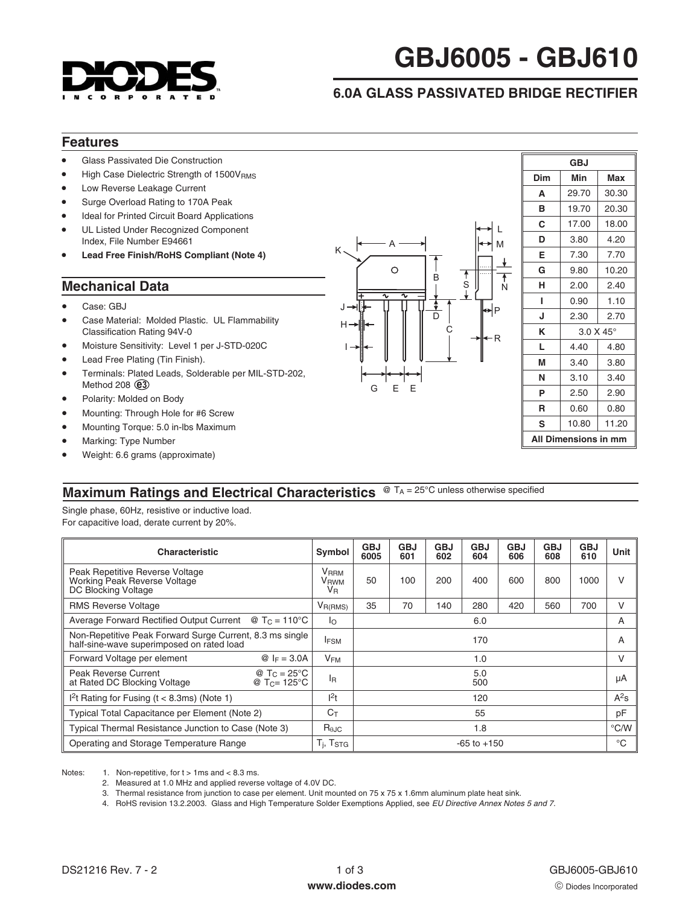

# **GBJ6005 - GBJ610**

## **6.0A GLASS PASSIVATED BRIDGE RECTIFIER**

### **Features**

- -Glass Passivated Die Construction
- -High Case Dielectric Strength of 1500VRMS
- -Low Reverse Leakage Current
- -Surge Overload Rating to 170A Peak
- -Ideal for Printed Circuit Board Applications
- - UL Listed Under Recognized Component Index, File Number E94661
- -**Lead Free Finish/RoHS Compliant (Note 4)**

### **Mechanical Data**

- -Case: GBJ
- - Case Material: Molded Plastic. UL Flammability Classification Rating 94V-0
- -Moisture Sensitivity: Level 1 per J-STD-020C
- -Lead Free Plating (Tin Finish).
- **e3** Method 208 -Terminals: Plated Leads, Solderable per MIL-STD-202,
- -Polarity: Molded on Body
- -Mounting: Through Hole for #6 Screw
- -Mounting Torque: 5.0 in-lbs Maximum
- -Marking: Type Number
- -Weight: 6.6 grams (approximate)



| <b>GBJ</b>                  |                    |                         |  |  |  |  |
|-----------------------------|--------------------|-------------------------|--|--|--|--|
| Dim                         | Min                | <b>Max</b>              |  |  |  |  |
| A                           | 29.70              | 30.30<br>20.30<br>18.00 |  |  |  |  |
| в                           | 19.70              |                         |  |  |  |  |
| C                           | 17.00              |                         |  |  |  |  |
| D                           | 3.80               | 4.20                    |  |  |  |  |
| Е                           | 7.30               | 7.70                    |  |  |  |  |
| G                           | 9.80               | 10.20                   |  |  |  |  |
| н                           | 2.00               | 2.40                    |  |  |  |  |
| ı                           | 0.90               | 1.10                    |  |  |  |  |
| J                           | 2.30               | 2.70                    |  |  |  |  |
| κ                           | $3.0 X 45^{\circ}$ |                         |  |  |  |  |
| L                           | 4.40               | 4.80                    |  |  |  |  |
| М                           | 3.40               | 3.80                    |  |  |  |  |
| N                           | 3.10               | 3.40                    |  |  |  |  |
| P                           | 2.50               | 2.90                    |  |  |  |  |
| R                           | 0.60               | 0.80                    |  |  |  |  |
| s                           | 10.80              | 11.20                   |  |  |  |  |
| <b>All Dimensions in mm</b> |                    |                         |  |  |  |  |

# **Maximum Ratings and Electrical Characteristics** @ TA = 25°C unless otherwise specified

Single phase, 60Hz, resistive or inductive load. For capacitive load, derate current by 20%.

| <b>Characteristic</b>                                                                                      | Symbol                     | <b>GBJ</b><br>6005                   | <b>GBJ</b><br>601 | <b>GBJ</b><br>602 | <b>GBJ</b><br>604 | <b>GBJ</b><br>606 | <b>GBJ</b><br>608 | <b>GBJ</b><br>610 | Unit   |
|------------------------------------------------------------------------------------------------------------|----------------------------|--------------------------------------|-------------------|-------------------|-------------------|-------------------|-------------------|-------------------|--------|
| Peak Repetitive Reverse Voltage<br>Working Peak Reverse Voltage<br>DC Blocking Voltage                     | <b>V</b> RRM<br>VRWM<br>VR | 50                                   | 100               | 200               | 400               | 600               | 800               | 1000              | $\vee$ |
| <b>RMS Reverse Voltage</b>                                                                                 | $V_{R(RMS)}$               | 35                                   | 70                | 140               | 280               | 420               | 560               | 700               | V      |
| Average Forward Rectified Output Current $\circledR$ T <sub>C</sub> = 110 <sup>o</sup> C                   | lo.                        |                                      |                   |                   | 6.0               |                   |                   |                   | A      |
| Non-Repetitive Peak Forward Surge Current, 8.3 ms single<br>half-sine-wave superimposed on rated load      | <b>IFSM</b>                |                                      |                   |                   | 170               |                   |                   |                   | A      |
| Forward Voltage per element<br><i><b>◎</b></i> $I_F = 3.0A$                                                | $V_{FM}$                   |                                      |                   |                   | 1.0               |                   |                   |                   | V      |
| Peak Reverse Current<br>@ $T_c = 25^{\circ}C$<br>@ T <sub>C</sub> = 125 °C<br>at Rated DC Blocking Voltage | l <sub>R</sub>             |                                      |                   |                   | 5.0<br>500        |                   |                   |                   | μA     |
| $12t$ Rating for Fusing (t < 8.3ms) (Note 1)                                                               | $l^2t$                     |                                      |                   |                   | 120               |                   |                   |                   | $A^2s$ |
| Typical Total Capacitance per Element (Note 2)                                                             |                            | 55                                   |                   |                   |                   |                   | pF                |                   |        |
| Typical Thermal Resistance Junction to Case (Note 3)                                                       |                            | 1.8                                  |                   |                   |                   |                   | $\degree$ C/W     |                   |        |
| Operating and Storage Temperature Range                                                                    |                            | $T_i$ , $T_{STG}$<br>$-65$ to $+150$ |                   |                   |                   | $^{\circ}$ C      |                   |                   |        |

Notes: 1. Non-repetitive, for  $t > 1$  ms and < 8.3 ms.

2. Measured at 1.0 MHz and applied reverse voltage of 4.0V DC.

- 3. Thermal resistance from junction to case per element. Unit mounted on 75 x 75 x 1.6mm aluminum plate heat sink.
- 4. RoHS revision 13.2.2003. Glass and High Temperature Solder Exemptions Applied, see [EU Directive Annex Notes 5 and 7.](http://europa.eu.int/eur-lex/pri/en/oj/dat/2003/l_037/l_03720030213en00190023.pdf)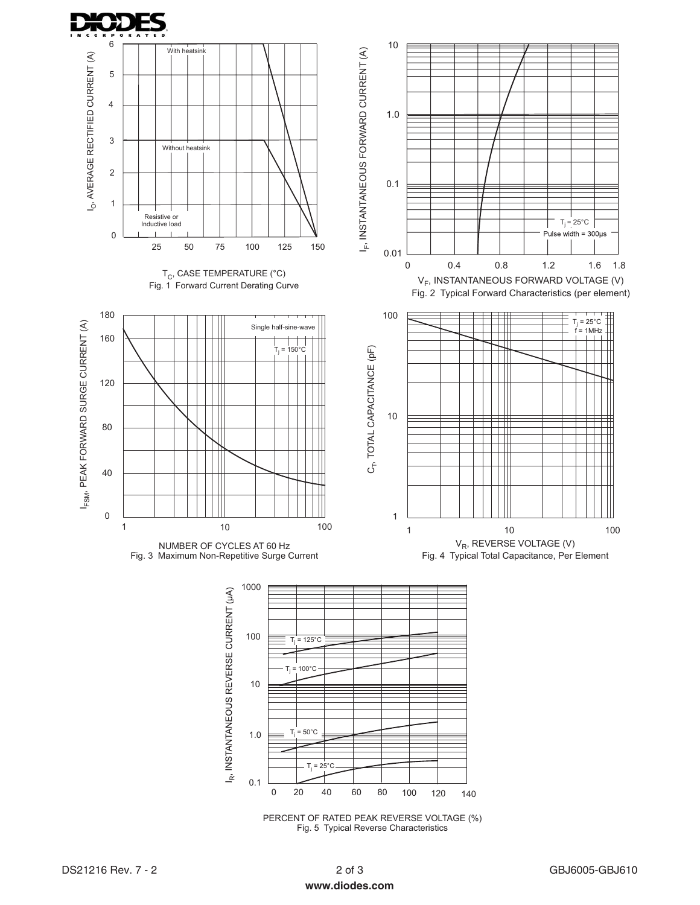



PERCENT OF RATED PEAK REVERSE VOLTAGE (%) Fig.5 Typical Reverse Characteristics